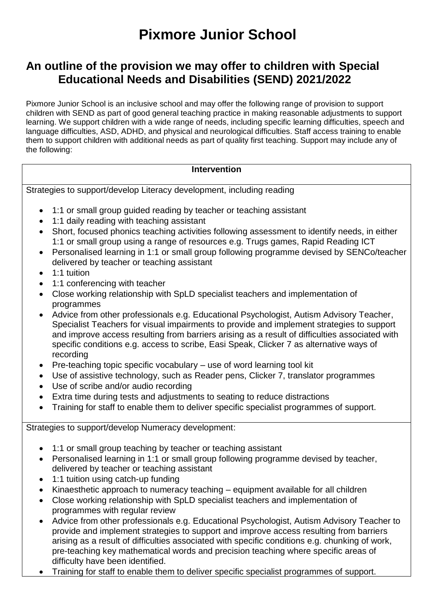## **Pixmore Junior School**

## **An outline of the provision we may offer to children with Special Educational Needs and Disabilities (SEND) 2021/2022**

Pixmore Junior School is an inclusive school and may offer the following range of provision to support children with SEND as part of good general teaching practice in making reasonable adjustments to support learning. We support children with a wide range of needs, including specific learning difficulties, speech and language difficulties, ASD, ADHD, and physical and neurological difficulties. Staff access training to enable them to support children with additional needs as part of quality first teaching. Support may include any of the following:

## **Intervention**

Strategies to support/develop Literacy development, including reading

- 1:1 or small group guided reading by teacher or teaching assistant
- 1:1 daily reading with teaching assistant
- Short, focused phonics teaching activities following assessment to identify needs, in either 1:1 or small group using a range of resources e.g. Trugs games, Rapid Reading ICT
- Personalised learning in 1:1 or small group following programme devised by SENCo/teacher delivered by teacher or teaching assistant
- $\bullet$  1:1 tuition
- 1:1 conferencing with teacher
- Close working relationship with SpLD specialist teachers and implementation of programmes
- Advice from other professionals e.g. Educational Psychologist, Autism Advisory Teacher, Specialist Teachers for visual impairments to provide and implement strategies to support and improve access resulting from barriers arising as a result of difficulties associated with specific conditions e.g. access to scribe, Easi Speak, Clicker 7 as alternative ways of recording
- $\bullet$  Pre-teaching topic specific vocabulary use of word learning tool kit
- Use of assistive technology, such as Reader pens, Clicker 7, translator programmes
- Use of scribe and/or audio recording
- Extra time during tests and adjustments to seating to reduce distractions
- Training for staff to enable them to deliver specific specialist programmes of support.

## Strategies to support/develop Numeracy development:

- 1:1 or small group teaching by teacher or teaching assistant
- Personalised learning in 1:1 or small group following programme devised by teacher, delivered by teacher or teaching assistant
- 1:1 tuition using catch-up funding
- Kinaesthetic approach to numeracy teaching equipment available for all children
- Close working relationship with SpLD specialist teachers and implementation of programmes with regular review
- Advice from other professionals e.g. Educational Psychologist, Autism Advisory Teacher to provide and implement strategies to support and improve access resulting from barriers arising as a result of difficulties associated with specific conditions e.g. chunking of work, pre-teaching key mathematical words and precision teaching where specific areas of difficulty have been identified.
- Training for staff to enable them to deliver specific specialist programmes of support.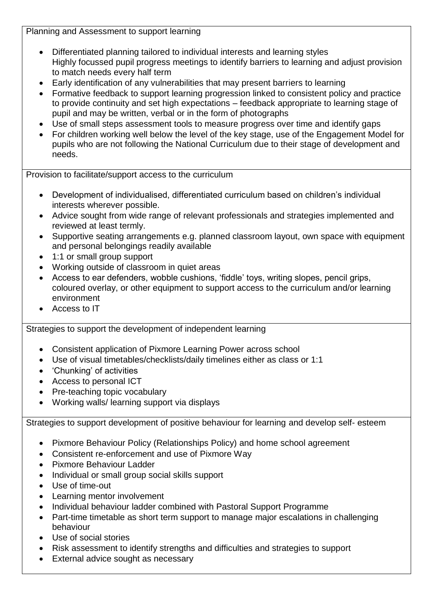Planning and Assessment to support learning

- Differentiated planning tailored to individual interests and learning styles Highly focussed pupil progress meetings to identify barriers to learning and adjust provision to match needs every half term
- Early identification of any vulnerabilities that may present barriers to learning
- Formative feedback to support learning progression linked to consistent policy and practice to provide continuity and set high expectations – feedback appropriate to learning stage of pupil and may be written, verbal or in the form of photographs
- Use of small steps assessment tools to measure progress over time and identify gaps
- For children working well below the level of the key stage, use of the Engagement Model for pupils who are not following the National Curriculum due to their stage of development and needs.

Provision to facilitate/support access to the curriculum

- Development of individualised, differentiated curriculum based on children's individual interests wherever possible.
- Advice sought from wide range of relevant professionals and strategies implemented and reviewed at least termly.
- Supportive seating arrangements e.g. planned classroom layout, own space with equipment and personal belongings readily available
- 1:1 or small group support
- Working outside of classroom in quiet areas
- Access to ear defenders, wobble cushions, 'fiddle' toys, writing slopes, pencil grips, coloured overlay, or other equipment to support access to the curriculum and/or learning environment
- Access to IT

Strategies to support the development of independent learning

- Consistent application of Pixmore Learning Power across school
- Use of visual timetables/checklists/daily timelines either as class or 1:1
- 'Chunking' of activities
- Access to personal ICT
- Pre-teaching topic vocabulary
- Working walls/ learning support via displays

Strategies to support development of positive behaviour for learning and develop self- esteem

- Pixmore Behaviour Policy (Relationships Policy) and home school agreement
- Consistent re-enforcement and use of Pixmore Way
- Pixmore Behaviour Ladder
- Individual or small group social skills support
- Use of time-out
- Learning mentor involvement
- Individual behaviour ladder combined with Pastoral Support Programme
- Part-time timetable as short term support to manage major escalations in challenging behaviour
- Use of social stories
- Risk assessment to identify strengths and difficulties and strategies to support
- External advice sought as necessary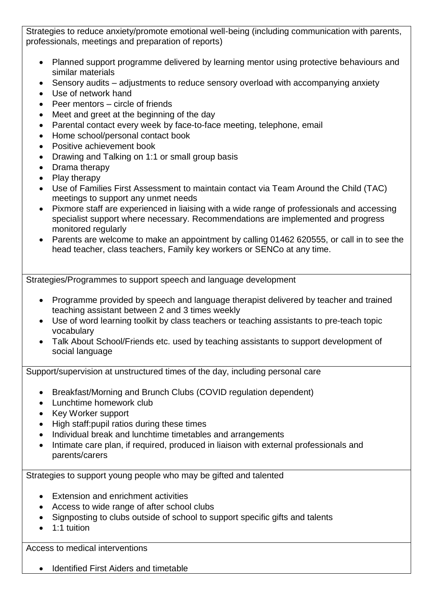Strategies to reduce anxiety/promote emotional well-being (including communication with parents, professionals, meetings and preparation of reports)

- Planned support programme delivered by learning mentor using protective behaviours and similar materials
- Sensory audits adjustments to reduce sensory overload with accompanying anxiety
- Use of network hand
- $\bullet$  Peer mentors circle of friends
- Meet and greet at the beginning of the day
- Parental contact every week by face-to-face meeting, telephone, email
- Home school/personal contact book
- Positive achievement book
- Drawing and Talking on 1:1 or small group basis
- Drama therapy
- Play therapy
- Use of Families First Assessment to maintain contact via Team Around the Child (TAC) meetings to support any unmet needs
- Pixmore staff are experienced in liaising with a wide range of professionals and accessing specialist support where necessary. Recommendations are implemented and progress monitored regularly
- Parents are welcome to make an appointment by calling 01462 620555, or call in to see the head teacher, class teachers, Family key workers or SENCo at any time.

Strategies/Programmes to support speech and language development

- Programme provided by speech and language therapist delivered by teacher and trained teaching assistant between 2 and 3 times weekly
- Use of word learning toolkit by class teachers or teaching assistants to pre-teach topic vocabulary
- Talk About School/Friends etc. used by teaching assistants to support development of social language

Support/supervision at unstructured times of the day, including personal care

- Breakfast/Morning and Brunch Clubs (COVID regulation dependent)
- Lunchtime homework club
- Key Worker support
- High staff: pupil ratios during these times
- Individual break and lunchtime timetables and arrangements
- Intimate care plan, if required, produced in liaison with external professionals and parents/carers

Strategies to support young people who may be gifted and talented

- Extension and enrichment activities
- Access to wide range of after school clubs
- Signposting to clubs outside of school to support specific gifts and talents
- $\bullet$  1:1 tuition

Access to medical interventions

• Identified First Aiders and timetable